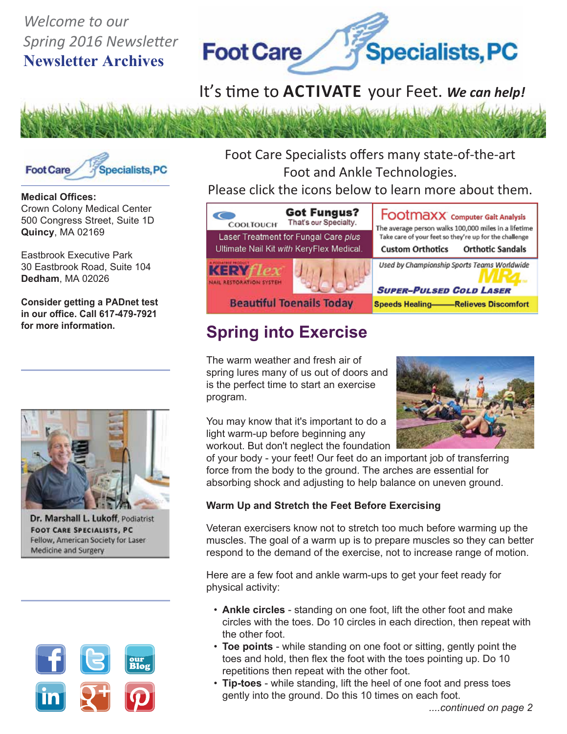# *Welcome to our Spring 2016 Newsletter* **Newsletter Archives**



# It's time to **ACTIVATE** your Feet. We can help!





**Medical Offices:** Crown Colony Medical Center 500 Congress Street, Suite 1D **Quincy**, MA 02169

Eastbrook Executive Park 30 Eastbrook Road, Suite 104 **Dedham**, MA 02026

**Consider getting a PADnet test in our office. Call 617-479-7921 for more information.**



Dr. Marshall L. Lukoff, Podiatrist **FOOT CARE SPECIALISTS, PC** Fellow, American Society for Laser Medicine and Surgery



Foot Care Specialists offers many state-of-the-art Foot and Ankle Technologies.

## Please click the icons below to learn more about them.



# **Spring into Exercise**

The warm weather and fresh air of spring lures many of us out of doors and is the perfect time to start an exercise program.



You may know that it's important to do a light warm-up before beginning any workout. But don't neglect the foundation

of your body - your feet! Our feet do an important job of transferring force from the body to the ground. The arches are essential for absorbing shock and adjusting to help balance on uneven ground.

#### **Warm Up and Stretch the Feet Before Exercising**

Veteran exercisers know not to stretch too much before warming up the muscles. The goal of a warm up is to prepare muscles so they can better respond to the demand of the exercise, not to increase range of motion.

Here are a few foot and ankle warm-ups to get your feet ready for physical activity:

- **Ankle circles** standing on one foot, lift the other foot and make circles with the toes. Do 10 circles in each direction, then repeat with the other foot.
- **Toe points** while standing on one foot or sitting, gently point the toes and hold, then flex the foot with the toes pointing up. Do 10 repetitions then repeat with the other foot.
- **Tip-toes** while standing, lift the heel of one foot and press toes gently into the ground. Do this 10 times on each foot.

 *....continued on page 2*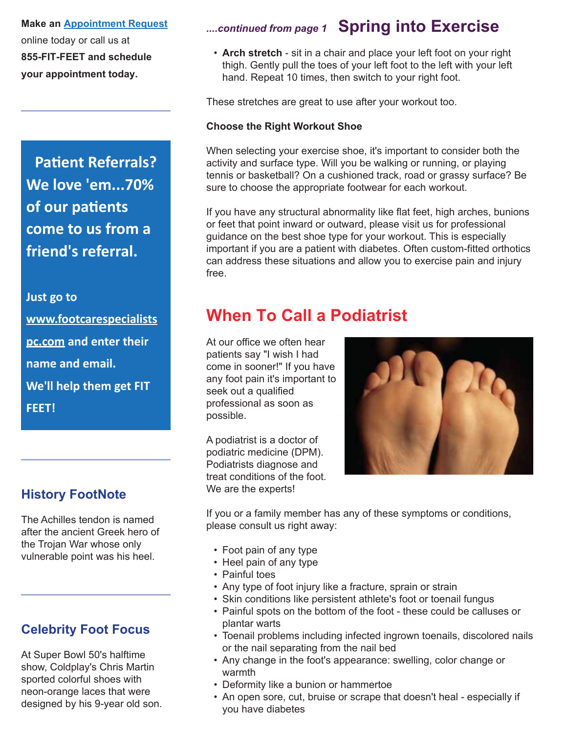**Make an Appointment Request** online today or call us at **855-FIT-FEET and schedule your appointment today.**

**Patient Referrals? We love 'em...70% of our patients come to us from a friend's referral.**

**Just go to www.footcarespecialists pc.com and enter their name and email. We'll help them get FIT FEET!**

### **History FootNote**

The Achilles tendon is named after the ancient Greek hero of the Trojan War whose only vulnerable point was his heel.

## **Celebrity Foot Focus**

At Super Bowl 50's halftime show, Coldplay's Chris Martin sported colorful shoes with neon-orange laces that were designed by his 9-year old son.

## *....continued from page 1* **Spring into Exercise**

 • **Arch stretch** - sit in a chair and place your left foot on your right thigh. Gently pull the toes of your left foot to the left with your left hand. Repeat 10 times, then switch to your right foot.

These stretches are great to use after your workout too.

#### **Choose the Right Workout Shoe**

When selecting your exercise shoe, it's important to consider both the activity and surface type. Will you be walking or running, or playing tennis or basketball? On a cushioned track, road or grassy surface? Be sure to choose the appropriate footwear for each workout.

If you have any structural abnormality like flat feet, high arches, bunions or feet that point inward or outward, please visit us for professional guidance on the best shoe type for your workout. This is especially important if you are a patient with diabetes. Often custom-fitted orthotics can address these situations and allow you to exercise pain and injury free.

## **When To Call a Podiatrist**

At our office we often hear patients say "I wish I had come in sooner!" If you have any foot pain it's important to seek out a qualified professional as soon as possible.

A podiatrist is a doctor of podiatric medicine (DPM). Podiatrists diagnose and treat conditions of the foot. We are the experts!



If you or a family member has any of these symptoms or conditions, please consult us right away:

- Foot pain of any type
- Heel pain of any type
- Painful toes
- Any type of foot injury like a fracture, sprain or strain
- Skin conditions like persistent athlete's foot or toenail fungus
- Painful spots on the bottom of the foot these could be calluses or plantar warts
- Toenail problems including infected ingrown toenails, discolored nails or the nail separating from the nail bed
- Any change in the foot's appearance: swelling, color change or warmth
- Deformity like a bunion or hammertoe
- An open sore, cut, bruise or scrape that doesn't heal especially if you have diabetes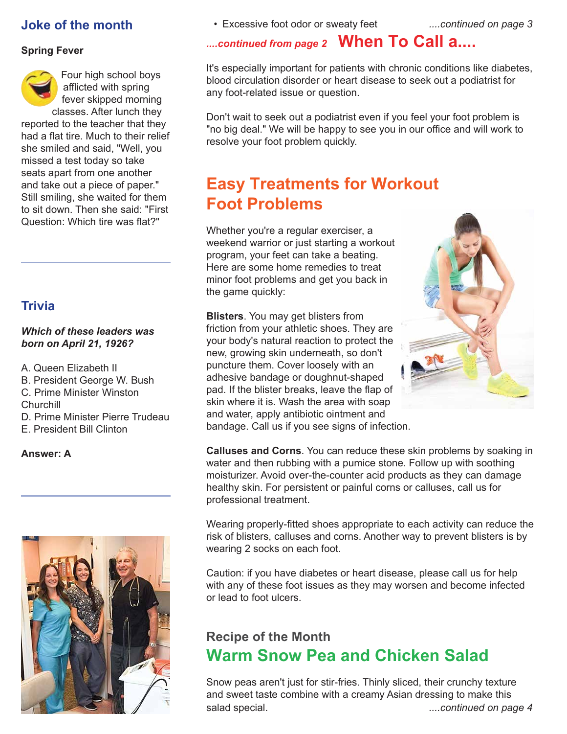### **Joke of the month**

#### **Spring Fever**



Four high school boys afflicted with spring fever skipped morning classes. After lunch they reported to the teacher that they

had a flat tire. Much to their relief she smiled and said, "Well, you missed a test today so take seats apart from one another and take out a piece of paper." Still smiling, she waited for them to sit down. Then she said: "First Question: Which tire was flat?"

## **Trivia**

#### *Which of these leaders was born on April 21, 1926?*

A. Queen Elizabeth II B. President George W. Bush C. Prime Minister Winston Churchill D. Prime Minister Pierre Trudeau E. President Bill Clinton

#### **Answer: A**



• Excessive foot odor or sweaty feet *....continued on page 3*

## *....continued from page 2* **When To Call a....**

It's especially important for patients with chronic conditions like diabetes, blood circulation disorder or heart disease to seek out a podiatrist for any foot-related issue or question.

Don't wait to seek out a podiatrist even if you feel your foot problem is "no big deal." We will be happy to see you in our office and will work to resolve your foot problem quickly.

# **Easy Treatments for Workout Foot Problems**

Whether you're a regular exerciser, a weekend warrior or just starting a workout program, your feet can take a beating. Here are some home remedies to treat minor foot problems and get you back in the game quickly:

**Blisters**. You may get blisters from friction from your athletic shoes. They are your body's natural reaction to protect the new, growing skin underneath, so don't puncture them. Cover loosely with an adhesive bandage or doughnut-shaped pad. If the blister breaks, leave the flap of skin where it is. Wash the area with soap and water, apply antibiotic ointment and bandage. Call us if you see signs of infection.



**Calluses and Corns**. You can reduce these skin problems by soaking in water and then rubbing with a pumice stone. Follow up with soothing moisturizer. Avoid over-the-counter acid products as they can damage healthy skin. For persistent or painful corns or calluses, call us for professional treatment.

Wearing properly-fitted shoes appropriate to each activity can reduce the risk of blisters, calluses and corns. Another way to prevent blisters is by wearing 2 socks on each foot.

Caution: if you have diabetes or heart disease, please call us for help with any of these foot issues as they may worsen and become infected or lead to foot ulcers.

## **Recipe of the Month Warm Snow Pea and Chicken Salad**

Snow peas aren't just for stir-fries. Thinly sliced, their crunchy texture and sweet taste combine with a creamy Asian dressing to make this salad special. *....continued on page 4*